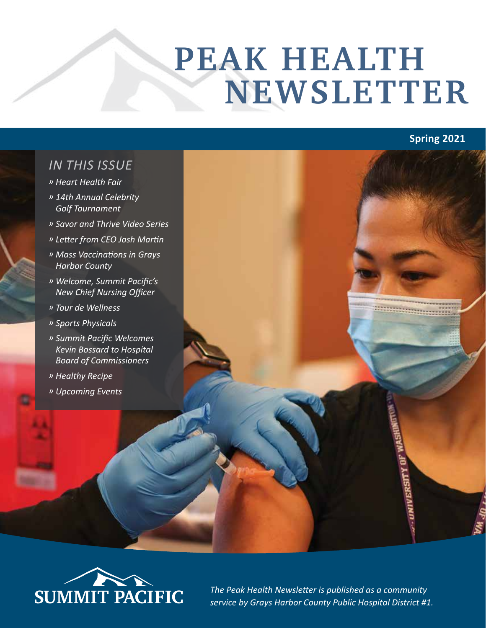# **PEAK HEALTH NEWSLETTER**

# **Spring 2021**

#### *IN THIS ISSUE*

- *» Heart Health Fair*
- *» 14th Annual Celebrity Golf Tournament*
- *» Savor and Thrive Video Series*
- *» Letter from CEO Josh Martin*
- *» Mass Vaccinations in Grays Harbor County*
- *» Welcome, Summit Pacific's New Chief Nursing Officer*
- *» Tour de Wellness*
- *» Sports Physicals*
- *» Summit Pacific Welcomes Kevin Bossard to Hospital Board of Commissioners*
- *» Healthy Recipe*
- *» Upcoming Events*



*The Peak Health Newsletter is published as a community*  **SUMMIT PACIFIC** The Peak Health Newsletter is published as a community<br>service by Grays Harbor County Public Hospital District #1.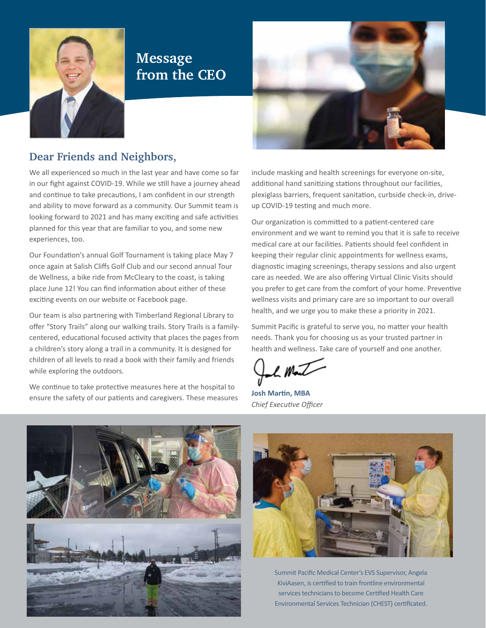

#### **Message from the CEO**



#### **Dear Friends and Neighbors,**

We all experienced so much in the last year and have come so far in our fight against COVID-19. While we still have a journey ahead and continue to take precautions, I am confident in our strength and ability to move forward as a community. Our Summit team is looking forward to 2021 and has many exciting and safe activities planned for this year that are familiar to you, and some new experiences, too.

Our Foundation's annual Golf Tournament is taking place May 7 once again at Salish Cliffs Golf Club and our second annual Tour de Wellness, a bike ride from McCleary to the coast, is taking place June 12! You can find information about either of these exciting events on our website or Facebook page.

Our team is also partnering with Timberland Regional Library to offer "Story Trails" along our walking trails. Story Trails is a familycentered, educational focused activity that places the pages from a children's story along a trail in a community. It is designed for children of all levels to read a book with their family and friends while exploring the outdoors.

We continue to take protective measures here at the hospital to ensure the safety of our patients and caregivers. These measures include masking and health screenings for everyone on-site, additional hand sanitizing stations throughout our facilities, plexiglass barriers, frequent sanitation, curbside check-in, driveup COVID-19 testing and much more.

Our organization is committed to a patient-centered care environment and we want to remind you that it is safe to receive medical care at our facilities. Patients should feel confident in keeping their regular clinic appointments for wellness exams, diagnostic imaging screenings, therapy sessions and also urgent care as needed. We are also offering Virtual Clinic Visits should you prefer to get care from the comfort of your home. Preventive wellness visits and primary care are so important to our overall health, and we urge you to make these a priority in 2021.

Summit Pacific is grateful to serve you, no matter your health needs. Thank you for choosing us as your trusted partner in health and wellness. Take care of yourself and one another.

PMJ

**Josh Martin, MBA** *Chief Executive Officer*





Summit Pacific Medical Center's EVS Supervisor, Angela KiviAasen, is certified to train frontline environmental services technicians to become Certified Health Care Environmental Services Technician (CHEST) certificated.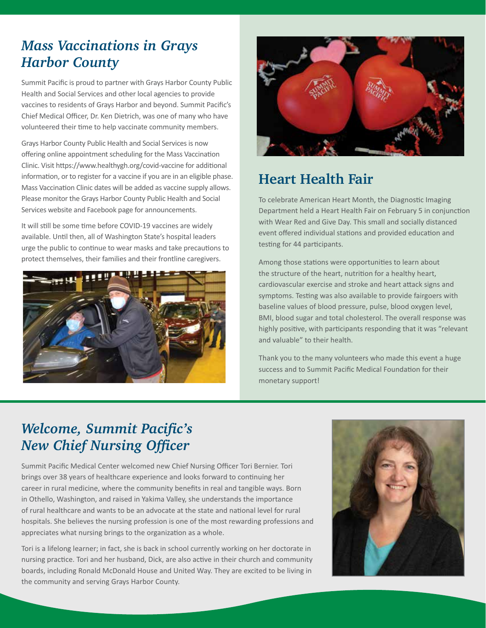#### *Mass Vaccinations in Grays Harbor County*

Summit Pacific is proud to partner with Grays Harbor County Public Health and Social Services and other local agencies to provide vaccines to residents of Grays Harbor and beyond. Summit Pacific's Chief Medical Officer, Dr. Ken Dietrich, was one of many who have volunteered their time to help vaccinate community members.

Grays Harbor County Public Health and Social Services is now offering online appointment scheduling for the Mass Vaccination Clinic. Visit https://www.healthygh.org/covid-vaccine for additional information, or to register for a vaccine if you are in an eligible phase. Mass Vaccination Clinic dates will be added as vaccine supply allows. Please monitor the Grays Harbor County Public Health and Social Services website and Facebook page for announcements.

It will still be some time before COVID-19 vaccines are widely available. Until then, all of Washington State's hospital leaders urge the public to continue to wear masks and take precautions to protect themselves, their families and their frontline caregivers.





# **Heart Health Fair**

To celebrate American Heart Month, the Diagnostic Imaging Department held a Heart Health Fair on February 5 in conjunction with Wear Red and Give Day. This small and socially distanced event offered individual stations and provided education and testing for 44 participants.

Among those stations were opportunities to learn about the structure of the heart, nutrition for a healthy heart, cardiovascular exercise and stroke and heart attack signs and symptoms. Testing was also available to provide fairgoers with baseline values of blood pressure, pulse, blood oxygen level, BMI, blood sugar and total cholesterol. The overall response was highly positive, with participants responding that it was "relevant and valuable" to their health.

Thank you to the many volunteers who made this event a huge success and to Summit Pacific Medical Foundation for their monetary support!

### *Welcome, Summit Pacific's New Chief Nursing Officer*

Summit Pacific Medical Center welcomed new Chief Nursing Officer Tori Bernier. Tori brings over 38 years of healthcare experience and looks forward to continuing her career in rural medicine, where the community benefits in real and tangible ways. Born in Othello, Washington, and raised in Yakima Valley, she understands the importance of rural healthcare and wants to be an advocate at the state and national level for rural hospitals. She believes the nursing profession is one of the most rewarding professions and appreciates what nursing brings to the organization as a whole.

Tori is a lifelong learner; in fact, she is back in school currently working on her doctorate in nursing practice. Tori and her husband, Dick, are also active in their church and community boards, including Ronald McDonald House and United Way. They are excited to be living in the community and serving Grays Harbor County.

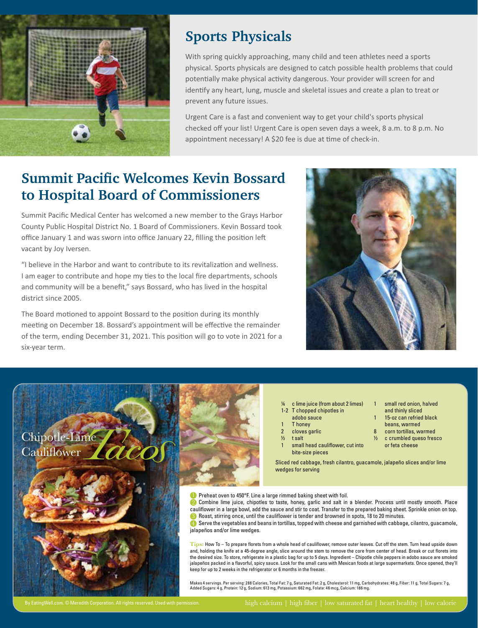

#### **Sports Physicals**

With spring quickly approaching, many child and teen athletes need a sports physical. Sports physicals are designed to catch possible health problems that could potentially make physical activity dangerous. Your provider will screen for and identify any heart, lung, muscle and skeletal issues and create a plan to treat or prevent any future issues.

Urgent Care is a fast and convenient way to get your child's sports physical checked off your list! Urgent Care is open seven days a week, 8 a.m. to 8 p.m. No appointment necessary! A \$20 fee is due at time of check-in.

## **Summit Pacific Welcomes Kevin Bossard to Hospital Board of Commissioners**

Summit Pacific Medical Center has welcomed a new member to the Grays Harbor County Public Hospital District No. 1 Board of Commissioners. Kevin Bossard took office January 1 and was sworn into office January 22, filling the position left vacant by Joy Iversen.

"I believe in the Harbor and want to contribute to its revitalization and wellness. I am eager to contribute and hope my ties to the local fire departments, schools and community will be a benefit," says Bossard, who has lived in the hospital district since 2005.

The Board motioned to appoint Bossard to the position during its monthly meeting on December 18. Bossard's appointment will be effective the remainder of the term, ending December 31, 2021. This position will go to vote in 2021 for a six-year term.



- ¼ c lime juice (from about 2 limes)
- 1-2 T chopped chipotles in
- adobo sauce
- 1 T honey 2 cloves garlic
- ½ t salt
- 
- and thinly sliced 15-oz can refried black beans, warmed

small red onion, halved

- corn tortillas, warmed
- ½ c crumbled queso fresco or feta cheese
- small head cauliflower, cut into bite-size pieces

Sliced red cabbage, fresh cilantro, guacamole, jalapeño slices and/or lime wedges for serving

**D** Preheat oven to 450°F. Line a large rimmed baking sheet with foil.

**2** Combine lime juice, chipotles to taste, honey, garlic and salt in a blender. Process until mostly smooth. Place cauliflower in a large bowl, add the sauce and stir to coat. Transfer to the prepared baking sheet. Sprinkle onion on top. 8 Roast, stirring once, until the cauliflower is tender and browned in spots, 18 to 20 minutes.

 Serve the vegetables and beans in tortillas, topped with cheese and garnished with cabbage, cilantro, guacamole, 4 jalapeños and/or lime wedges.

**Tips:** How To – To prepare florets from a whole head of cauliflower, remove outer leaves. Cut off the stem. Turn head upside down and, holding the knife at a 45-degree angle, slice around the stem to remove the core from center of head. Break or cut florets into the desired size. To store, refrigerate in a plastic bag for up to 5 days. Ingredient – Chipotle chile peppers in adobo sauce are smoked jalapeños packed in a flavorful, spicy sauce. Look for the small cans with Mexican foods at large supermarkets. Once opened, they'll keep for up to 2 weeks in the refrigerator or 6 months in the freezer.

Makes 4 servings. Per serving: 288 Calories, Total Fat: 7 g, Saturated Fat: 2 g, Cholesterol: 11 mg, Carbohydrates: 48 g, Fiber: 11 g, Total Sugars: 7 g, Added Sugars: 4 g, Protein: 12 g, Sodium: 613 mg, Potassium: 662 mg, Folate: 46 mcg, Calcium: 186 mg.

Chipotle-Lime<br>Cauliflower (acco)

**Cauliflower**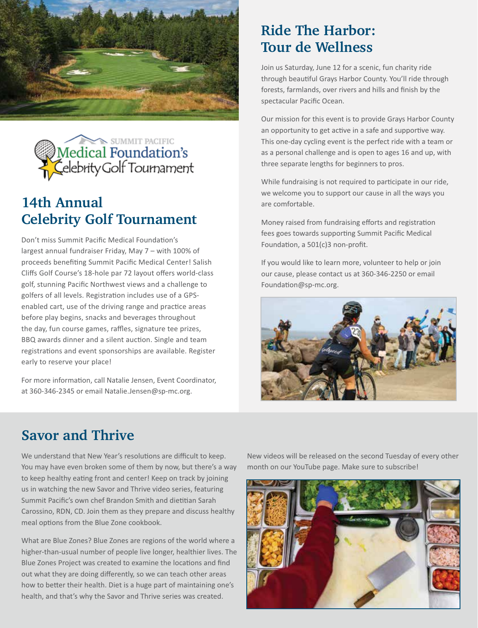



# **14th Annual Celebrity Golf Tournament**

Don't miss Summit Pacific Medical Foundation's largest annual fundraiser Friday, May 7 – with 100% of proceeds benefiting Summit Pacific Medical Center! Salish Cliffs Golf Course's 18-hole par 72 layout offers world-class golf, stunning Pacific Northwest views and a challenge to golfers of all levels. Registration includes use of a GPSenabled cart, use of the driving range and practice areas before play begins, snacks and beverages throughout the day, fun course games, raffles, signature tee prizes, BBQ awards dinner and a silent auction. Single and team registrations and event sponsorships are available. Register early to reserve your place!

For more information, call Natalie Jensen, Event Coordinator, at 360-346-2345 or email Natalie.Jensen@sp-mc.org.

#### **Ride The Harbor: Tour de Wellness**

Join us Saturday, June 12 for a scenic, fun charity ride through beautiful Grays Harbor County. You'll ride through forests, farmlands, over rivers and hills and finish by the spectacular Pacific Ocean.

Our mission for this event is to provide Grays Harbor County an opportunity to get active in a safe and supportive way. This one-day cycling event is the perfect ride with a team or as a personal challenge and is open to ages 16 and up, with three separate lengths for beginners to pros.

While fundraising is not required to participate in our ride, we welcome you to support our cause in all the ways you are comfortable.

Money raised from fundraising efforts and registration fees goes towards supporting Summit Pacific Medical Foundation, a 501(c)3 non-profit.

If you would like to learn more, volunteer to help or join our cause, please contact us at 360-346-2250 or email Foundation@sp-mc.org.



#### **Savor and Thrive**

We understand that New Year's resolutions are difficult to keep. You may have even broken some of them by now, but there's a way to keep healthy eating front and center! Keep on track by joining us in watching the new Savor and Thrive video series, featuring Summit Pacific's own chef Brandon Smith and dietitian Sarah Carossino, RDN, CD. Join them as they prepare and discuss healthy meal options from the Blue Zone cookbook.

What are Blue Zones? Blue Zones are regions of the world where a higher-than-usual number of people live longer, healthier lives. The Blue Zones Project was created to examine the locations and find out what they are doing differently, so we can teach other areas how to better their health. Diet is a huge part of maintaining one's health, and that's why the Savor and Thrive series was created.

New videos will be released on the second Tuesday of every other month on our YouTube page. Make sure to subscribe!